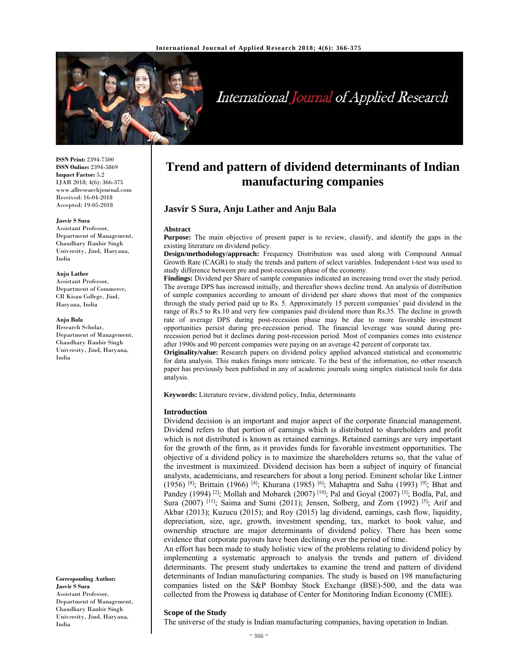

# International Journal of Applied Research

**ISSN Print:** 2394-7500 **ISSN Online:** 2394-5869 **Impact Factor:** 5.2 IJAR 2018; 4(6): 366-375 www.allresearchjournal.com Received: 16-04-2018 Accepted: 19-05-2018

#### **Jasvir S Sura**

Assistant Professor, Department of Management, Chaudhary Ranbir Singh University, Jind, Haryana, India

#### **Anju Lather**

Assistant Professor, Department of Commerce, CR Kisan College, Jind, Haryana, India

#### **Anju Bala**

Research Scholar, Department of Management, Chaudhary Ranbir Singh University, Jind, Haryana, India

**Corresponding Author: Jasvir S Sura**  Assistant Professor, Department of Management, Chaudhary Ranbir Singh University, Jind, Haryana, India

# **Trend and pattern of dividend determinants of Indian manufacturing companies**

# **Jasvir S Sura, Anju Lather and Anju Bala**

#### **Abstract**

**Purpose:** The main objective of present paper is to review, classify, and identify the gaps in the existing literature on dividend policy.

**Design/methodology/approach:** Frequency Distribution was used along with Compound Annual Growth Rate (CAGR) to study the trends and pattern of select variables. Independent t-test was used to study difference between pre and post-recession phase of the economy.

**Findings:** Dividend per Share of sample companies indicated an increasing trend over the study period. The average DPS has increased initially, and thereafter shows decline trend. An analysis of distribution of sample companies according to amount of dividend per share shows that most of the companies through the study period paid up to Rs. 5. Approximately 15 percent companies' paid dividend in the range of Rs.5 to Rs.10 and very few companies paid dividend more than Rs.35. The decline in growth rate of average DPS during post-recession phase may be due to more favorable investment opportunities persist during pre-recession period. The financial leverage was sound during prerecession period but it declines during post-recession period. Most of companies comes into existence after 1990s and 90 percent companies were paying on an average 42 percent of corporate tax.

**Originality/value:** Research papers on dividend policy applied advanced statistical and econometric for data analysis. This makes finings more intricate. To the best of the information, no other research paper has previously been published in any of academic journals using simplex statistical tools for data analysis.

**Keywords:** Literature review, dividend policy, India, determinants

#### **Introduction**

Dividend decision is an important and major aspect of the corporate financial management. Dividend refers to that portion of earnings which is distributed to shareholders and profit which is not distributed is known as retained earnings. Retained earnings are very important for the growth of the firm, as it provides funds for favorable investment opportunities. The objective of a dividend policy is to maximize the shareholders returns so, that the value of the investment is maximized. Dividend decision has been a subject of inquiry of financial analysts, academicians, and researchers for about a long period. Eminent scholar like Lintner (1956) <sup>[8]</sup>; Brittain (1966) <sup>[4]</sup>; Khurana (1985) <sup>[6]</sup>; Mahaptra and Sahu (1993) <sup>[9]</sup>; Bhat and Pandey (1994) <sup>[2]</sup>; Mollah and Mobarek (2007) <sup>[10]</sup>; Pal and Goyal (2007) <sup>[3]</sup>; Bodla, Pal, and Sura (2007)  $[11]$ ; Saima and Sumi (2011); Jensen, Solberg, and Zorn (1992)  $[5]$ ; Arif and Akbar (2013); Kuzucu (2015); and Roy (2015) lag dividend, earnings, cash flow, liquidity, depreciation, size, age, growth, investment spending, tax, market to book value, and ownership structure are major determinants of dividend policy. There has been some evidence that corporate payouts have been declining over the period of time.

An effort has been made to study holistic view of the problems relating to dividend policy by implementing a systematic approach to analysis the trends and pattern of dividend determinants. The present study undertakes to examine the trend and pattern of dividend determinants of Indian manufacturing companies. The study is based on 198 manufacturing companies listed on the S&P Bombay Stock Exchange (BSE)-500, and the data was collected from the Prowess iq database of Center for Monitoring Indian Economy (CMIE).

# **Scope of the Study**

The universe of the study is Indian manufacturing companies, having operation in Indian.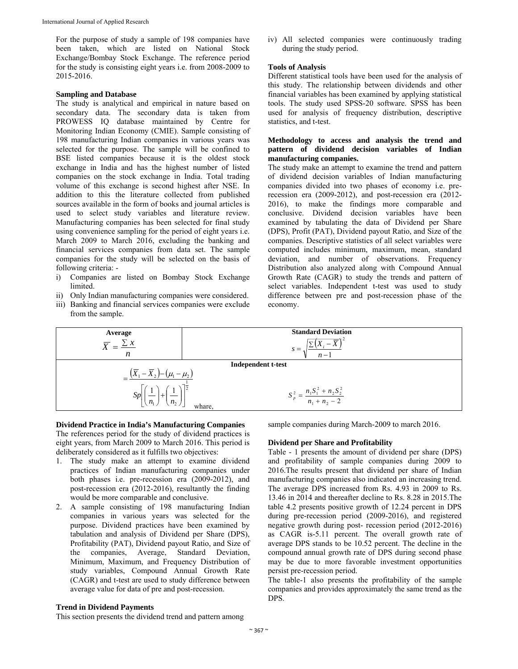For the purpose of study a sample of 198 companies have been taken, which are listed on National Stock Exchange/Bombay Stock Exchange. The reference period for the study is consisting eight years i.e. from 2008-2009 to 2015-2016.

#### **Sampling and Database**

The study is analytical and empirical in nature based on secondary data. The secondary data is taken from PROWESS IQ database maintained by Centre for Monitoring Indian Economy (CMIE). Sample consisting of 198 manufacturing Indian companies in various years was selected for the purpose. The sample will be confined to BSE listed companies because it is the oldest stock exchange in India and has the highest number of listed companies on the stock exchange in India. Total trading volume of this exchange is second highest after NSE. In addition to this the literature collected from published sources available in the form of books and journal articles is used to select study variables and literature review. Manufacturing companies has been selected for final study using convenience sampling for the period of eight years i.e. March 2009 to March 2016, excluding the banking and financial services companies from data set. The sample companies for the study will be selected on the basis of following criteria: -

- i) Companies are listed on Bombay Stock Exchange limited.
- ii) Only Indian manufacturing companies were considered.
- iii) Banking and financial services companies were exclude from the sample.

iv) All selected companies were continuously trading during the study period.

# **Tools of Analysis**

Different statistical tools have been used for the analysis of this study. The relationship between dividends and other financial variables has been examined by applying statistical tools. The study used SPSS-20 software. SPSS has been used for analysis of frequency distribution, descriptive statistics, and t-test.

# **Methodology to access and analysis the trend and pattern of dividend decision variables of Indian manufacturing companies.**

The study make an attempt to examine the trend and pattern of dividend decision variables of Indian manufacturing companies divided into two phases of economy i.e. prerecession era (2009-2012), and post-recession era (2012- 2016), to make the findings more comparable and conclusive. Dividend decision variables have been examined by tabulating the data of Dividend per Share (DPS), Profit (PAT), Dividend payout Ratio, and Size of the companies. Descriptive statistics of all select variables were computed includes minimum, maximum, mean, standard deviation, and number of observations. Frequency Distribution also analyzed along with Compound Annual Growth Rate (CAGR) to study the trends and pattern of select variables. Independent t-test was used to study difference between pre and post-recession phase of the economy.



#### **Dividend Practice in India's Manufacturing Companies**

The references period for the study of dividend practices is eight years, from March 2009 to March 2016. This period is deliberately considered as it fulfills two objectives:

- 1. The study make an attempt to examine dividend practices of Indian manufacturing companies under both phases i.e. pre-recession era (2009-2012), and post-recession era (2012-2016), resultantly the finding would be more comparable and conclusive.
- 2. A sample consisting of 198 manufacturing Indian companies in various years was selected for the purpose. Dividend practices have been examined by tabulation and analysis of Dividend per Share (DPS), Profitability (PAT), Dividend payout Ratio, and Size of the companies, Average, Standard Deviation, Minimum, Maximum, and Frequency Distribution of study variables, Compound Annual Growth Rate (CAGR) and t-test are used to study difference between average value for data of pre and post-recession.

# **Trend in Dividend Payments**

This section presents the dividend trend and pattern among

sample companies during March-2009 to march 2016.

#### **Dividend per Share and Profitability**

Table - 1 presents the amount of dividend per share (DPS) and profitability of sample companies during 2009 to 2016.The results present that dividend per share of Indian manufacturing companies also indicated an increasing trend. The average DPS increased from Rs. 4.93 in 2009 to Rs. 13.46 in 2014 and thereafter decline to Rs. 8.28 in 2015.The table 4.2 presents positive growth of 12.24 percent in DPS during pre-recession period (2009-2016), and registered negative growth during post- recession period (2012-2016) as CAGR is-5.11 percent. The overall growth rate of average DPS stands to be 10.52 percent. The decline in the compound annual growth rate of DPS during second phase may be due to more favorable investment opportunities persist pre-recession period.

The table-1 also presents the profitability of the sample companies and provides approximately the same trend as the DPS.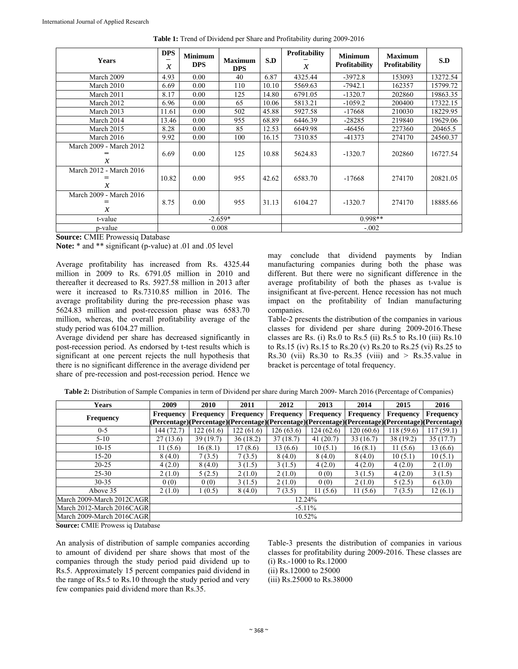| Years                                    | <b>DPS</b><br>$\mathcal{X}$ | <b>Minimum</b><br><b>DPS</b> | <b>Maximum</b><br><b>DPS</b> | S.D   | Profitability<br>$\mathcal{X}$ | <b>Minimum</b><br><b>Profitability</b> | <b>Maximum</b><br><b>Profitability</b> | S.D      |  |  |
|------------------------------------------|-----------------------------|------------------------------|------------------------------|-------|--------------------------------|----------------------------------------|----------------------------------------|----------|--|--|
| March 2009                               | 4.93                        | 0.00                         | 40                           | 6.87  | 4325.44                        | $-3972.8$                              | 153093                                 | 13272.54 |  |  |
| March 2010                               | 6.69                        | 0.00                         | 110                          | 10.10 | 5569.63                        | $-7942.1$                              | 162357                                 | 15799.72 |  |  |
| March 2011                               | 8.17                        | 0.00                         | 125                          | 14.80 | 6791.05                        | $-1320.7$                              | 202860                                 | 19863.35 |  |  |
| March 2012                               | 6.96                        | 0.00                         | 65                           | 10.06 | 5813.21                        | $-1059.2$                              | 200400                                 | 17322.15 |  |  |
| March 2013                               | 11.61                       | 0.00                         | 502                          | 45.88 | 5927.58                        | $-17668$                               | 210030                                 | 18229.95 |  |  |
| March 2014                               | 13.46                       | 0.00                         | 955                          | 68.89 | 6446.39                        | $-28285$                               | 219840                                 | 19629.06 |  |  |
| March 2015                               | 8.28                        | 0.00                         | 85                           | 12.53 | 6649.98                        | -46456                                 | 227360                                 | 20465.5  |  |  |
| March 2016                               | 9.92                        | 0.00                         | 100                          | 16.15 | 7310.85                        | $-41373$                               | 274170                                 | 24560.37 |  |  |
| March 2009 - March 2012<br>$\mathcal{X}$ | 6.69                        | 0.00                         | 125                          | 10.88 | 5624.83                        | $-1320.7$                              | 202860                                 | 16727.54 |  |  |
| March 2012 - March 2016<br>х             | 10.82                       | 0.00                         | 955                          | 42.62 | 6583.70                        | $-17668$                               | 274170                                 | 20821.05 |  |  |
| March 2009 - March 2016<br>$\mathcal{X}$ | 8.75                        | 0.00                         | 955                          | 31.13 | 6104.27                        | $-1320.7$                              | 274170                                 | 18885.66 |  |  |
| t-value                                  | $-2.659*$                   |                              |                              |       | $0.998**$                      |                                        |                                        |          |  |  |
| p-value                                  |                             |                              | 0.008                        |       |                                | $-.002$                                |                                        |          |  |  |

**Table 1:** Trend of Dividend per Share and Profitability during 2009-2016

**Source:** CMIE Prowessiq Database

**Note:** \* and \*\* significant (p-value) at .01 and .05 level

Average profitability has increased from Rs. 4325.44 million in 2009 to Rs. 6791.05 million in 2010 and thereafter it decreased to Rs. 5927.58 million in 2013 after were it increased to Rs.7310.85 million in 2016. The average profitability during the pre-recession phase was 5624.83 million and post-recession phase was 6583.70 million, whereas, the overall profitability average of the study period was 6104.27 million.

Average dividend per share has decreased significantly in post-recession period. As endorsed by t-test results which is significant at one percent rejects the null hypothesis that there is no significant difference in the average dividend per share of pre-recession and post-recession period. Hence we

may conclude that dividend payments by Indian manufacturing companies during both the phase was different. But there were no significant difference in the average profitability of both the phases as t-value is insignificant at five-percent. Hence recession has not much impact on the profitability of Indian manufacturing companies.

Table-2 presents the distribution of the companies in various classes for dividend per share during 2009-2016.These classes are Rs. (i) Rs.0 to Rs.5 (ii) Rs.5 to Rs.10 (iii) Rs.10 to Rs.15 (iv) Rs.15 to Rs.20 (v) Rs.20 to Rs.25 (vi) Rs.25 to Rs.30 (vii) Rs.30 to Rs.35 (viii) and  $>$  Rs.35.value in bracket is percentage of total frequency.

| <b>Years</b>               | 2009             | <b>2010</b> | 2011                                                                                             | 2012             | 2013       | 2014             | 2015             | 2016             |
|----------------------------|------------------|-------------|--------------------------------------------------------------------------------------------------|------------------|------------|------------------|------------------|------------------|
| <b>Frequency</b>           | <b>Frequency</b> | Frequency   | <b>Frequency</b>                                                                                 | <b>Frequency</b> | Frequency  | <b>Frequency</b> | <b>Frequency</b> | <b>Frequency</b> |
|                            |                  |             | (Percentage)(Percentage)(Percentage)(Percentage)(Percentage)(Percentage)(Percentage)(Percentage) |                  |            |                  |                  |                  |
| $0 - 5$                    | 144 (72.7)       | 122(61.6)   | 122(61.6)                                                                                        | 126(63.6)        | 124 (62.6) | 120(60.6)        | 118(59.6)        | 117 (59.1)       |
| $5-10$                     | 27(13.6)         | 39(19.7)    | 36(18.2)                                                                                         | 37(18.7)         | 41(20.7)   | 33(16.7)         | 38 (19.2)        | 35(17.7)         |
| $10 - 15$                  | 11(5.6)          | 16(8.1)     | 17(8.6)                                                                                          | 13 (6.6)         | 10(5.1)    | 16(8.1)          | 11(5.6)          | 13(6.6)          |
| 15-20                      | 8(4.0)           | 7(3.5)      | 7(3.5)                                                                                           | 8(4.0)           | 8(4.0)     | 8(4.0)           | 10(5.1)          | 10(5.1)          |
| $20 - 25$                  | 4(2.0)           | 8(4.0)      | 3(1.5)                                                                                           | 3(1.5)           | 4(2.0)     | 4(2.0)           | 4(2.0)           | 2(1.0)           |
| $25 - 30$                  | 2(1.0)           | 5(2.5)      | 2(1.0)                                                                                           | 2(1.0)           | 0(0)       | 3(1.5)           | 4(2.0)           | 3(1.5)           |
| $30 - 35$                  | 0(0)             | 0(0)        | 3(1.5)                                                                                           | 2(1.0)           | 0(0)       | 2(1.0)           | 5(2.5)           | 6(3.0)           |
| Above 35                   | 2(1.0)           | 1(0.5)      | 8(4.0)                                                                                           | 7(3.5)           | 11(5.6)    | 11(5.6)          | 7(3.5)           | 12(6.1)          |
| March 2009-March 2012CAGRI |                  |             |                                                                                                  |                  | 12.24%     |                  |                  |                  |
| March 2012-March 2016CAGRI |                  |             |                                                                                                  |                  | $-5.11\%$  |                  |                  |                  |
| March 2009-March 2016CAGR  |                  |             |                                                                                                  |                  | 10.52%     |                  |                  |                  |

**Table 2:** Distribution of Sample Companies in term of Dividend per share during March 2009- March 2016 (Percentage of Companies)

**Source:** CMIE Prowess iq Database

An analysis of distribution of sample companies according to amount of dividend per share shows that most of the companies through the study period paid dividend up to Rs.5. Approximately 15 percent companies paid dividend in the range of Rs.5 to Rs.10 through the study period and very few companies paid dividend more than Rs.35.

Table-3 presents the distribution of companies in various classes for profitability during 2009-2016. These classes are (i) Rs.-1000 to Rs.12000 (ii) Rs.12000 to 25000

(iii) Rs.25000 to Rs.38000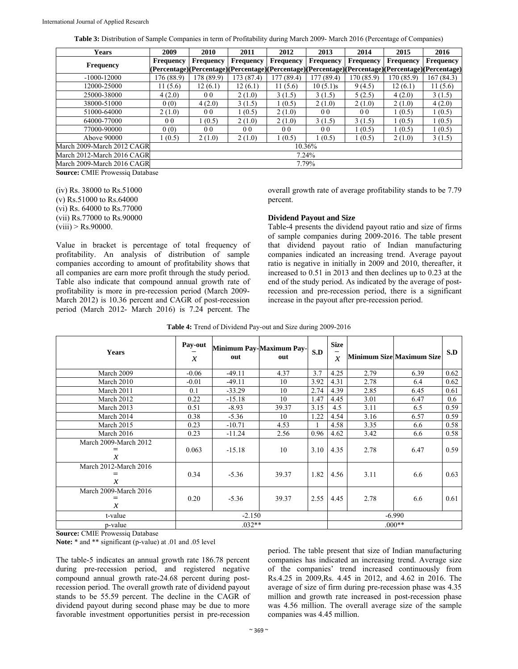**Table 3:** Distribution of Sample Companies in term of Profitability during March 2009- March 2016 (Percentage of Companies)

| <b>Years</b>               | 2009             | 2010             | 2011             | 2012           | 2013           | 2014             | 2015                                                                                                    | 2016             |
|----------------------------|------------------|------------------|------------------|----------------|----------------|------------------|---------------------------------------------------------------------------------------------------------|------------------|
|                            | <b>Frequency</b> | <b>Frequency</b> | <b>Frequency</b> | Frequency      | Frequency      | <b>Frequency</b> | <b>Frequency</b>                                                                                        | <b>Frequency</b> |
| <b>Frequency</b>           |                  |                  |                  |                |                |                  | (Percentage) (Percentage) (Percentage) (Percentage) (Percentage) (Percentage) (Percentage) (Percentage) |                  |
| $-1000 - 12000$            | 176 (88.9)       | 178 (89.9)       | 173 (87.4)       | 177(89.4)      | 177(89.4)      | 170 (85.9)       | 170 (85.9)                                                                                              | 167 (84.3)       |
| 12000-25000                | 11 (5.6)         | 12(6.1)          | 12(6.1)          | 11 (5.6)       | 10(5.1)s       | 9(4.5)           | 12(6.1)                                                                                                 | 11(5.6)          |
| 25000-38000                | 4(2.0)           | 0 <sub>0</sub>   | 2(1.0)           | 3(1.5)         | 3(1.5)         | 5(2.5)           | 4(2.0)                                                                                                  | 3(1.5)           |
| 38000-51000                | 0(0)             | 4(2.0)           | 3(1.5)           | 1(0.5)         | 2(1.0)         | 2(1.0)           | 2(1.0)                                                                                                  | 4(2.0)           |
| 51000-64000                | 2(1.0)           | 00               | 1(0.5)           | 2(1.0)         | 0 <sub>0</sub> | 0 <sub>0</sub>   | 1(0.5)                                                                                                  | 1(0.5)           |
| 64000-77000                | 0 <sub>0</sub>   | (0.5)            | 2(1.0)           | 2(1.0)         | 3(1.5)         | 3(1.5)           | 1(0.5)                                                                                                  | 1(0.5)           |
| 77000-90000                | 0(0)             | 0 <sub>0</sub>   | 0 <sub>0</sub>   | 0 <sub>0</sub> | 00             | 1(0.5)           | 1(0.5)                                                                                                  | 1(0.5)           |
| Above 90000                | 1(0.5)           | 2(1.0)           | 2(1.0)           | 1(0.5)         | (0.5)          | 1(0.5)           | 2(1.0)                                                                                                  | 3(1.5)           |
| March 2009-March 2012 CAGR |                  |                  |                  |                | 10.36%         |                  |                                                                                                         |                  |
| March 2012-March 2016 CAGR |                  |                  |                  |                | 7.24%          |                  |                                                                                                         |                  |
| March 2009-March 2016 CAGR |                  |                  |                  |                | 7.79%          |                  |                                                                                                         |                  |

**Source:** CMIE Prowessiq Database

(iv) Rs. 38000 to Rs.51000 (v) Rs.51000 to Rs.64000 (vi) Rs. 64000 to Rs.77000 (vii) Rs.77000 to Rs.90000  $(viii) > Rs.90000$ .

overall growth rate of average profitability stands to be 7.79 percent.

#### **Dividend Payout and Size**

Value in bracket is percentage of total frequency of profitability. An analysis of distribution of sample companies according to amount of profitability shows that all companies are earn more profit through the study period. Table also indicate that compound annual growth rate of profitability is more in pre-recession period (March 2009- March 2012) is 10.36 percent and CAGR of post-recession period (March 2012- March 2016) is 7.24 percent. The Table-4 presents the dividend payout ratio and size of firms of sample companies during 2009-2016. The table present that dividend payout ratio of Indian manufacturing companies indicated an increasing trend. Average payout ratio is negative in initially in 2009 and 2010, thereafter, it increased to 0.51 in 2013 and then declines up to 0.23 at the end of the study period. As indicated by the average of postrecession and pre-recession period, there is a significant increase in the payout after pre-recession period.

**Table 4:** Trend of Dividend Pay-out and Size during 2009-2016

| Years                                                      | Pay-out<br>$\mathcal{X}$ | out      | Minimum Pay-Maximum Pay-<br>out | S.D  | <b>Size</b><br>$\mathcal{X}$ |      | <b>Minimum Size Maximum Size</b> | S.D  |
|------------------------------------------------------------|--------------------------|----------|---------------------------------|------|------------------------------|------|----------------------------------|------|
| March 2009                                                 | $-0.06$                  | $-49.11$ | 4.37                            | 3.7  | 4.25                         | 2.79 | 6.39                             | 0.62 |
| March 2010                                                 | $-0.01$                  | $-49.11$ | 10                              | 3.92 | 4.31                         | 2.78 | 6.4                              | 0.62 |
| March 2011                                                 | 0.1                      | $-33.29$ | 10                              | 2.74 | 4.39                         | 2.85 | 6.45                             | 0.61 |
| March 2012                                                 | 0.22                     | $-15.18$ | 10                              | 1.47 | 4.45                         | 3.01 | 6.47                             | 0.6  |
| March 2013                                                 | 0.51                     | $-8.93$  | 39.37                           | 3.15 | 4.5                          | 3.11 | 6.5                              | 0.59 |
| March 2014                                                 | 0.38                     | $-5.36$  | 10                              | 1.22 | 4.54                         | 3.16 | 6.57                             | 0.59 |
| March 2015                                                 | 0.23                     | $-10.71$ | 4.53                            |      | 4.58                         | 3.35 | 6.6                              | 0.58 |
| March 2016                                                 | 0.23                     | $-11.24$ | 2.56                            | 0.96 | 4.62                         | 3.42 | 6.6                              | 0.58 |
| March 2009-March 2012<br>$=$<br>$\boldsymbol{\mathcal{X}}$ | 0.063                    | $-15.18$ | 10                              | 3.10 | 4.35                         | 2.78 | 6.47                             | 0.59 |
| March 2012-March 2016<br>=<br>$\mathcal{X}$                | 0.34                     | $-5.36$  | 39.37                           | 1.82 | 4.56                         | 3.11 | 6.6                              | 0.63 |
| March 2009-March 2016<br>$=$<br>$\mathcal{X}$              | 0.20                     | $-5.36$  | 39.37                           | 2.55 | 4.45                         | 2.78 | 6.6                              | 0.61 |
| t-value                                                    |                          | $-2.150$ |                                 |      |                              |      | $-6.990$                         |      |
| p-value                                                    |                          | $.032**$ |                                 |      |                              |      | $.000**$                         |      |

**Source:** CMIE Prowessiq Database

**Note:** \* and \*\* significant (p-value) at .01 and .05 level

The table-5 indicates an annual growth rate 186.78 percent during pre-recession period, and registered negative compound annual growth rate-24.68 percent during postrecession period. The overall growth rate of dividend payout stands to be 55.59 percent. The decline in the CAGR of dividend payout during second phase may be due to more favorable investment opportunities persist in pre-recession

period. The table present that size of Indian manufacturing companies has indicated an increasing trend. Average size of the companies' trend increased continuously from Rs.4.25 in 2009,Rs. 4.45 in 2012, and 4.62 in 2016. The average of size of firm during pre-recession phase was 4.35 million and growth rate increased in post-recession phase was 4.56 million. The overall average size of the sample companies was 4.45 million.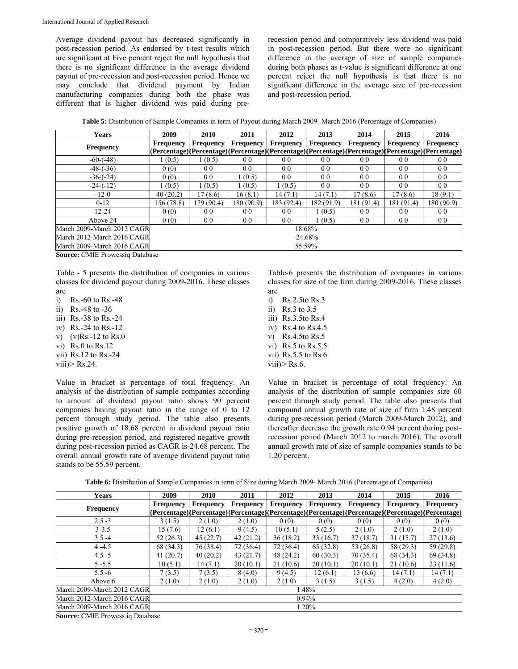Average dividend payout has decreased significantly in post-recession period. As endorsed by t-test results which are significant at Five percent reject the null hypothesis that there is no significant difference in the average dividend payout of pre-recession and post-recession period. Hence we may conclude that dividend payment by Indian manufacturing companies during both the phase was different that is higher dividend was paid during prerecession period and comparatively less dividend was paid in post-recession period. But there were no significant difference in the average of size of sample companies during both phases as t-value is significant difference at one percent reject the null hypothesis is that there is no significant difference in the average size of pre-recession and post-recession period.

**Table 5:** Distribution of Sample Companies in term of Payout during March 2009- March 2016 (Percentage of Companies)

| <b>Years</b>                | 2009             | 2010           | 2011                                                                                             | 2012             | 2013             | 2014             | 2015             | 2016             |
|-----------------------------|------------------|----------------|--------------------------------------------------------------------------------------------------|------------------|------------------|------------------|------------------|------------------|
| <b>Frequency</b>            | <b>Frequency</b> | Frequency      | <b>Frequency</b>                                                                                 | <b>Frequency</b> | <b>Frequency</b> | <b>Frequency</b> | <b>Frequency</b> | <b>Frequency</b> |
|                             |                  |                | (Percentage)(Percentage)(Percentage)(Percentage)(Percentage)(Percentage)(Percentage)(Percentage) |                  |                  |                  |                  |                  |
| $-60-(-48)$                 | (0.5)            | 1(0.5)         | 0 <sub>0</sub>                                                                                   | 0 <sub>0</sub>   | 0 <sub>0</sub>   | 0 <sub>0</sub>   | 0 <sub>0</sub>   | 0 <sub>0</sub>   |
| $-48-(-36)$                 | 0(0)             | 0 <sub>0</sub> | 0 <sub>0</sub>                                                                                   | 0 <sub>0</sub>   | 0 <sub>0</sub>   | 0 <sub>0</sub>   | 0 <sub>0</sub>   | 0 <sub>0</sub>   |
| $-36-(-24)$                 | 0(0)             | 0 <sub>0</sub> | 1(0.5)                                                                                           | 0 <sub>0</sub>   | 0 <sub>0</sub>   | 0 <sub>0</sub>   | 0 <sub>0</sub>   | 0 <sub>0</sub>   |
| $-24-(-12)$                 | (0.5)            | 1(0.5)         | 1(0.5)                                                                                           | 1(0.5)           | 0 <sub>0</sub>   | 0 <sub>0</sub>   | 0 <sub>0</sub>   | 0 <sub>0</sub>   |
| $-12-0$                     | 40(20.2)         | 17(8.6)        | 16(8.1)                                                                                          | 14(7.1)          | 14(7.1)          | 17(8.6)          | 17 (8.6)         | 18(9.1)          |
| $0 - 12$                    | 156 (78.8)       | 179 (90.4)     | 180 (90.9)                                                                                       | 183 (92.4)       | 182 (91.9)       | 181 (91.4)       | 181 (91.4)       | 180 (90.9)       |
| $12 - 24$                   | 0(0)             | 0 <sub>0</sub> | 0 <sub>0</sub>                                                                                   | 0 <sub>0</sub>   | 1(0.5)           | 0 <sub>0</sub>   | 0 <sub>0</sub>   | 0 <sub>0</sub>   |
| Above 24                    | 0(0)             | 0 <sub>0</sub> | 0 <sub>0</sub>                                                                                   | 0 <sub>0</sub>   | 1(0.5)           | 0 <sub>0</sub>   | 0 <sub>0</sub>   | 0 <sub>0</sub>   |
| March 2009-March 2012 CAGRI |                  |                |                                                                                                  |                  | 18.68%           |                  |                  |                  |
| March 2012-March 2016 CAGR  |                  |                |                                                                                                  |                  | $-24.68\%$       |                  |                  |                  |
| March 2009-March 2016 CAGR  |                  |                |                                                                                                  |                  | 55.59%           |                  |                  |                  |

**Source:** CMIE Prowessiq Database

Table - 5 presents the distribution of companies in various classes for dividend payout during 2009-2016. These classes are

i) Rs.-60 to Rs.-48 ii) Rs.-48 to -36 iii) Rs.-38 to Rs.-24 iv) Rs.-24 to Rs.-12 v)  $(v)$ Rs.-12 to Rs.0 vi) Rs.0 to Rs.12 vii) Rs.12 to Rs.-24 viii) $>$  Rs.24.

Value in bracket is percentage of total frequency. An analysis of the distribution of sample companies according to amount of dividend payout ratio shows 90 percent companies having payout ratio in the range of 0 to 12 percent through study period. The table also presents positive growth of 18.68 percent in dividend payout ratio during pre-recession period, and registered negative growth during post-recession period as CAGR is-24.68 percent. The overall annual growth rate of average dividend payout ratio stands to be 55.59 percent.

Table-6 presents the distribution of companies in various classes for size of the firm during 2009-2016. These classes are

i) Rs.2.5to Rs.3 ii) Rs.3 to 3.5 iii) Rs.3.5to Rs.4 iv) Rs.4 to Rs.4.5 v) Rs.4.5to Rs.5 vi) Rs.5 to Rs.5.5 vii) Rs.5.5 to Rs.6 viii) $>$  Rs.6.

Value in bracket is percentage of total frequency. An analysis of the distribution of sample companies size 60 percent through study period. The table also presents that compound annual growth rate of size of firm 1.48 percent during pre-recession period (March 2009-March 2012), and thereafter decrease the growth rate 0.94 percent during postrecession period (March 2012 to march 2016). The overall annual growth rate of size of sample companies stands to be 1.20 percent.

|  | Table 6: Distribution of Sample Companies in term of Size during March 2009- March 2016 (Percentage of Companies) |  |
|--|-------------------------------------------------------------------------------------------------------------------|--|
|  |                                                                                                                   |  |

| <b>Years</b>                | 2009             | 2010             | 2011                                                                                             | 2012             | 2013             | 2014             | 2015             | 2016             |
|-----------------------------|------------------|------------------|--------------------------------------------------------------------------------------------------|------------------|------------------|------------------|------------------|------------------|
| <b>Frequency</b>            | <b>Frequency</b> | <b>Frequency</b> | <b>Frequency</b>                                                                                 | <b>Frequency</b> | <b>Frequency</b> | <b>Frequency</b> | <b>Frequency</b> | <b>Frequency</b> |
|                             |                  |                  | (Percentage)(Percentage)(Percentage)(Percentage)(Percentage)(Percentage)(Percentage)(Percentage) |                  |                  |                  |                  |                  |
| $2.5 - 3$                   | 3(1.5)           | 2(1.0)           | 2(1.0)                                                                                           | 0(0)             | 0(0)             | 0(0)             | 0(0)             | 0(0)             |
| $3 - 3.5$                   | 15(7.6)          | 12(6.1)          | 9(4.5)                                                                                           | 10(5.1)          | 5(2.5)           | 2(1.0)           | 2(1.0)           | 2(1.0)           |
| $3.5 - 4$                   | 52(26.3)         | 45(22.7)         | 42(21.2)                                                                                         | 36(18.2)         | 33(16.7)         | 37 (18.7)        | 31(15.7)         | 27(13.6)         |
| $4 - 4.5$                   | 68 (34.3)        | 76 (38.4)        | 72 (36.4)                                                                                        | 72 (36.4)        | 65 (32.8)        | 53 (26.8)        | 58 (29.3)        | 59 (29.8)        |
| $4.5 - 5$                   | 41(20.7)         | 40(20.2)         | 43(21.7)                                                                                         | 48 (24.2)        | 60(30.3)         | 70 (35.4)        | 68 (34.3)        | 69 (34.8)        |
| $5 - 5.5$                   | 10(5.1)          | 14(7.1)          | 20(10.1)                                                                                         | 21(10.6)         | 20(10.1)         | 20(10.1)         | 21(10.6)         | 23(11.6)         |
| $5.5 - 6$                   | 7(3.5)           | 7(3.5)           | 8(4.0)                                                                                           | 9(4.5)           | 12(6.1)          | 13 (6.6)         | 14(7.1)          | 14(7.1)          |
| Above 6                     | 2(1.0)           | 2(1.0)           | 2(1.0)                                                                                           | 2(1.0)           | 3(1.5)           | 3(1.5)           | 4(2.0)           | 4(2.0)           |
| March 2009-March 2012 CAGRI |                  |                  |                                                                                                  |                  | 1.48%            |                  |                  |                  |
| March 2012-March 2016 CAGR  |                  |                  |                                                                                                  |                  | $0.94\%$         |                  |                  |                  |
| March 2009-March 2016 CAGR  |                  |                  |                                                                                                  |                  | 1.20%            |                  |                  |                  |
|                             |                  |                  |                                                                                                  |                  |                  |                  |                  |                  |

**Source:** CMIE Prowess iq Database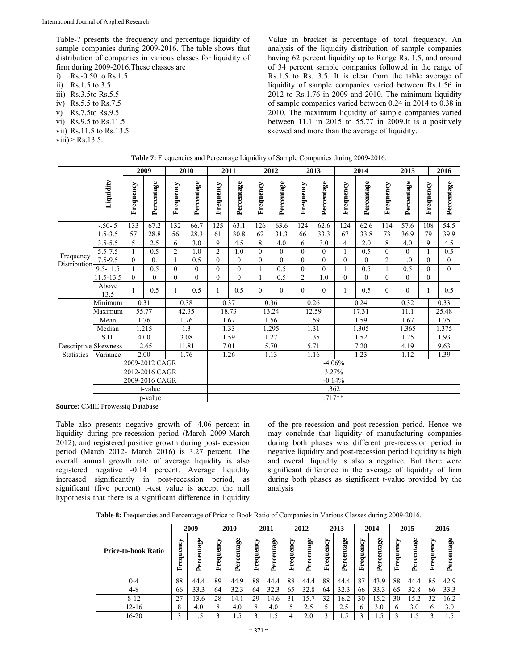Table-7 presents the frequency and percentage liquidity of sample companies during 2009-2016. The table shows that distribution of companies in various classes for liquidity of firm during 2009-2016.These classes are

i) Rs.-0.50 to Rs.1.5

ii) Rs.1.5 to 3.5

- iii) Rs.3.5to Rs.5.5
- iv) Rs.5.5 to Rs.7.5
- v) Rs.7.5to Rs.9.5
- vi) Rs.9.5 to Rs.11.5
- vii) Rs.11.5 to Rs.13.5
- $viii)$  Rs.13.5.

Value in bracket is percentage of total frequency. An analysis of the liquidity distribution of sample companies having 62 percent liquidity up to Range Rs. 1.5, and around of 34 percent sample companies followed in the range of Rs.1.5 to Rs. 3.5. It is clear from the table average of liquidity of sample companies varied between Rs.1.56 in 2012 to Rs.1.76 in 2009 and 2010. The minimum liquidity of sample companies varied between 0.24 in 2014 to 0.38 in 2010. The maximum liquidity of sample companies varied between 11.1 in 2015 to  $55.77$  in 2009.It is a positively skewed and more than the average of liquidity.

|                      |                      |                | 2009             |                | 2010         |                | 2011       |           | 2012       |                | 2013         |              | 2014       |                | 2015       |           | 2016           |
|----------------------|----------------------|----------------|------------------|----------------|--------------|----------------|------------|-----------|------------|----------------|--------------|--------------|------------|----------------|------------|-----------|----------------|
|                      | Liquidity            | Frequency      | Percentage       | Frequency      | Percentage   | Frequency      | Percentage | Frequency | Percentage | Frequency      | Percentage   | Frequency    | Percentage | Frequency      | Percentage | Frequency | Percentage     |
|                      | $-.50-.5$            | 133            | 67.2             | 132            | 66.7         | 125            | 63.1       | 126       | 63.6       | 124            | 62.6         | 124          | 62.6       | 114            | 57.6       | 108       | 54.5           |
|                      | $1.5 - 3.5$          | 57             | 28.8             | 56             | 28.3         | 61             | 30.8       | 62        | 31.3       | 66             | 33.3         | 67           | 33.8       | 73             | 36.9       | 79        | 39.9           |
|                      | $3.5 - 5.5$          | 5              | 2.5              | 6              | 3.0          | 9              | 4.5        | 8         | 4.0        | 6              | 3.0          | 4            | 2.0        | 8              | 4.0        | 9         | 4.5            |
| Frequency            | $5.5 - 7.5$          |                | 0.5              | $\overline{2}$ | 1.0          | $\overline{2}$ | 1.0        | $\theta$  | $\theta$   | $\theta$       | $\mathbf{0}$ | $\mathbf{1}$ | 0.5        | $\theta$       | $\theta$   |           | 0.5            |
| Distribution         | $7.5 - 9.5$          | $\theta$       | $\overline{0}$ . | 1              | 0.5          | $\theta$       | $\theta$   | $\theta$  | $\theta$   | $\theta$       | $\theta$     | $\theta$     | $\theta$   | $\overline{c}$ | 1.0        | $\Omega$  | $\Omega$       |
|                      | $9.5 - 11.5$         |                | 0.5              | $\overline{0}$ | $\mathbf{0}$ | $\mathbf{0}$   | $\Omega$   |           | 0.5        | $\mathbf{0}$   | $\mathbf{0}$ | 1            | 0.5        |                | 0.5        | $\theta$  | $\overline{0}$ |
|                      | 11.5-13.5            | $\theta$       | $\theta$         | $\theta$       | $\theta$     | $\theta$       | $\Omega$   |           | 0.5        | $\overline{2}$ | 1.0          | $\theta$     | $\theta$   | $\theta$       | $\theta$   | $\theta$  |                |
|                      | Above<br>13.5        |                | 0.5              | 1              | 0.5          | 1              | 0.5        | $\Omega$  | $\theta$   | $\theta$       | $\theta$     | 1            | 0.5        | $\Omega$       | $\Omega$   |           | 0.5            |
|                      | Minimum              |                | 0.31             |                | 0.38         |                | 0.37       |           | 0.36       |                | 0.26         |              | 0.24       |                | 0.32       |           | 0.33           |
|                      | Maximum              |                | 55.77            |                | 42.35        |                | 18.73      |           | 13.24      | 12.59          |              |              | 17.31      |                | 11.1       |           | 25.48          |
|                      | Mean                 |                | 1.76             |                | 1.76         |                | 1.67       |           | 1.56       | 1.59           |              | 1.59         |            |                | 1.67       |           | 1.75           |
|                      | Median               |                | 1.215            |                | 1.3          |                | 1.33       |           | .295       |                | 1.31         |              | 1.305      |                | 1.365      |           | 1.375          |
|                      | S.D.                 |                | 4.00             |                | 3.08         |                | 1.59       |           | 1.27       |                | 1.35         |              | 1.52       |                | 1.25       |           | 1.93           |
| Descriptive Skewness |                      |                | 12.65            |                | 11.81        |                | 7.01       |           | 5.70       |                | 5.71         |              | 7.20       |                | 4.19       |           | 9.63           |
| <b>Statistics</b>    | Variance             |                | 2.00             |                | 1.76         |                | 1.26       |           | 1.13       |                | 1.16         |              | 1.23       |                | 1.12       |           | 1.39           |
|                      |                      |                | 2009-2012 CAGR   |                |              |                |            |           |            |                | $-4.06%$     |              |            |                |            |           |                |
|                      |                      |                | 2012-2016 CAGR   |                |              | 3.27%          |            |           |            |                |              |              |            |                |            |           |                |
|                      |                      | 2009-2016 CAGR |                  |                |              |                |            |           |            |                | $-0.14%$     |              |            |                |            |           |                |
|                      |                      |                | t-value          |                |              |                |            |           |            |                | .362         |              |            |                |            |           |                |
|                      | $\sim$ $\sim$ $\sim$ | $\sim$ $\sim$  | p-value          |                |              |                |            |           |            |                | $.717**$     |              |            |                |            |           |                |

| Table 7: Frequencies and Percentage Liquidity of Sample Companies during 2009-2016. |  |  |  |  |  |  |
|-------------------------------------------------------------------------------------|--|--|--|--|--|--|
|-------------------------------------------------------------------------------------|--|--|--|--|--|--|

**Source:** CMIE Prowessiq Database

Table also presents negative growth of -4.06 percent in liquidity during pre-recession period (March 2009-March 2012), and registered positive growth during post-recession period (March 2012- March 2016) is 3.27 percent. The overall annual growth rate of average liquidity is also registered negative -0.14 percent. Average liquidity increased significantly in post-recession period, as significant (five percent) t-test value is accept the null hypothesis that there is a significant difference in liquidity

of the pre-recession and post-recession period. Hence we may conclude that liquidity of manufacturing companies during both phases was different pre-recession period in negative liquidity and post-recession period liquidity is high and overall liquidity is also a negative. But there were significant difference in the average of liquidity of firm during both phases as significant t-value provided by the analysis

**Table 8:** Frequencies and Percentage of Price to Book Ratio of Companies in Various Classes during 2009-2016.

|                            |                    | 2009              |                       | 2010    |                             | 2011           |                    | 2012       |                   | 2013                        |           | 2014                  |                                   | 2015                  |                              | 2016                  |
|----------------------------|--------------------|-------------------|-----------------------|---------|-----------------------------|----------------|--------------------|------------|-------------------|-----------------------------|-----------|-----------------------|-----------------------------------|-----------------------|------------------------------|-----------------------|
| <b>Price-to-book Ratio</b> | T<br>uen<br>ರ<br>Ē | centage<br>5<br>≏ | S,<br>uen<br>ರ್<br>Ŀ, | 80<br>≏ | S,<br>uen<br>ರ್<br>÷.<br>E. | 8e<br>Percenta | S.<br>5<br>ь<br>E. | Percentage | S.<br>menba<br>r. | ಹಿ<br>ದ<br>Ē<br>o<br>는<br>≏ | Frequency | centage<br><b>Per</b> | ರಿ<br>⊟<br>σ<br>Ē<br>ರ್<br>Φ<br>≃ | ee<br>centa<br>Б<br>≏ | ১<br>ĕ<br>ರ<br>ه<br>£,<br>E, | ee<br>centa<br>$P$ er |
| $0 - 4$                    | 88                 | 44.4              | 89                    | 44.9    | 88                          | 44.4           | 88                 | 44.4       | 88                | 44.4                        | 87        | 43.9                  | 88                                | 44.4                  | 85                           | 42.9                  |
| $4 - 8$                    | 66                 | 33.3              | 64                    | 32.3    | 64                          | 32.3           | 65                 | 32.8       | 64                | 32.3                        | 66        | 33.3                  | 65                                | 32.8                  | 66                           | 33.3                  |
| $8 - 12$                   | 27                 | 13.6              | 28                    | 14.1    | 29                          | 14.6           | 31                 | 15.7       | 32                | 16.2                        | 30        | 15.2                  | 30                                | 15.2                  | 32                           | 16.2                  |
| $12 - 16$                  | 8                  | 4.0               | ◠                     | 4.0     | 8                           | 4.0            |                    | 2.5        |                   | 2.5                         | 6         | 3.0                   |                                   | 3.0                   | 6                            | 3.0                   |
| 16-20                      | $\mathbf{\hat{}}$  | .5                |                       |         |                             | .5             | 4                  | 2.0        |                   | ن. 1                        | 3         |                       |                                   |                       |                              |                       |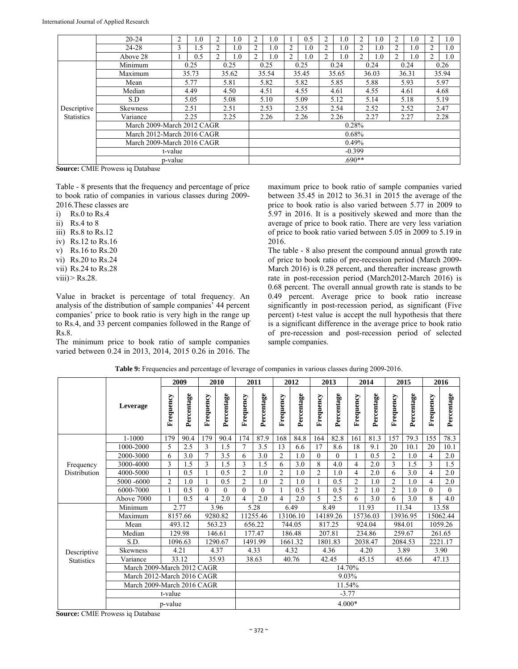|                   | $20 - 24$                  | 2            | 1.0      | 2              | 1.0   |       | 1.0  |                | 0.5   | 2    | 1.0   | 2        | 1.0   |                | $1.0\,$ |   | 1.0   |
|-------------------|----------------------------|--------------|----------|----------------|-------|-------|------|----------------|-------|------|-------|----------|-------|----------------|---------|---|-------|
|                   | 24-28                      | 3            | 1.5      | 2              | 1.0   |       | 1.0  | 2              | 1.0   | 2    | 1.0   | 2        | 1.0   |                | 1.0     | 2 | 1.0   |
|                   | Above 28                   |              | 0.5      | $\overline{2}$ | 1.0   | 2     | 1.0  | $\overline{c}$ | 1.0   | 2    | 1.0   | 2        | 1.0   | $\overline{c}$ | 1.0     |   | 1.0   |
|                   | Minimum                    |              | 0.25     |                | 0.25  |       | 0.25 |                | 0.25  |      | 0.24  |          | 0.24  |                | 0.24    |   | 0.26  |
|                   | Maximum                    | 35.73        |          |                | 35.62 | 35.54 |      |                | 35.45 |      | 35.65 |          | 36.03 |                | 36.31   |   | 35.94 |
|                   | Mean                       | 5.77         |          |                | 5.81  |       | 5.82 |                | 5.82  |      | 5.85  |          | 5.88  |                | 5.93    |   | 5.97  |
|                   | Median                     | 4.49<br>4.50 |          |                |       |       | 4.51 |                | 4.55  |      | 4.61  |          | 4.55  |                | 4.61    |   | 4.68  |
|                   | S.D                        | 5.05         |          |                | 5.08  |       | 5.10 | 5.09           |       | 5.12 |       | 5.14     |       | 5.18           |         |   | 5.19  |
| Descriptive       | <b>Skewness</b>            |              | 2.51     |                | 2.51  |       | 2.53 |                | 2.55  |      | 2.54  |          | 2.52  |                | 2.52    |   | 2.47  |
| <b>Statistics</b> | Variance                   |              | 2.25     |                | 2.25  |       | 2.26 |                | 2.26  | 2.26 |       |          | 2.27  | 2.27           |         |   | 2.28  |
|                   | March 2009-March 2012 CAGR |              |          |                |       |       |      |                |       |      |       | 0.28%    |       |                |         |   |       |
|                   | March 2012-March 2016 CAGR |              |          |                |       |       |      |                | 0.68% |      |       |          |       |                |         |   |       |
|                   | March 2009-March 2016 CAGR |              | 0.49%    |                |       |       |      |                |       |      |       |          |       |                |         |   |       |
|                   | t-value                    |              | $-0.399$ |                |       |       |      |                |       |      |       |          |       |                |         |   |       |
|                   | p-value                    |              |          |                |       |       |      |                |       |      |       | $.690**$ |       |                |         |   |       |

**Source:** CMIE Prowess iq Database

Table - 8 presents that the frequency and percentage of price to book ratio of companies in various classes during 2009- 2016.These classes are

 $i)$  Rs.0 to Rs.4

ii) Rs.4 to  $8$ 

iii) Rs.8 to Rs.12

- iv) Rs.12 to Rs.16
- v) Rs.16 to Rs.20
- vi) Rs.20 to Rs.24
- vii) Rs.24 to Rs.28
- viii) $>$  Rs.28.

Value in bracket is percentage of total frequency. An analysis of the distribution of sample companies' 44 percent companies' price to book ratio is very high in the range up to Rs.4, and 33 percent companies followed in the Range of Rs.8.

The minimum price to book ratio of sample companies varied between 0.24 in 2013, 2014, 2015 0.26 in 2016. The maximum price to book ratio of sample companies varied between 35.45 in 2012 to 36.31 in 2015 the average of the price to book ratio is also varied between 5.77 in 2009 to 5.97 in 2016. It is a positively skewed and more than the average of price to book ratio. There are very less variation of price to book ratio varied between 5.05 in 2009 to 5.19 in 2016.

The table - 8 also present the compound annual growth rate of price to book ratio of pre-recession period (March 2009- March 2016) is 0.28 percent, and thereafter increase growth rate in post-recession period (March2012-March 2016) is 0.68 percent. The overall annual growth rate is stands to be 0.49 percent. Average price to book ratio increase significantly in post-recession period, as significant (Five percent) t-test value is accept the null hypothesis that there is a significant difference in the average price to book ratio of pre-recession and post-recession period of selected sample companies.

|                   |                            |                            | 2009       |                | 2010       |                | 2011       |                | 2012       |                | 2013       |                | 2014       |                | 2015       |           | 2016       |
|-------------------|----------------------------|----------------------------|------------|----------------|------------|----------------|------------|----------------|------------|----------------|------------|----------------|------------|----------------|------------|-----------|------------|
|                   | Leverage                   | Frequency                  | Percentage | Frequency      | Percentage | Frequency      | Percentage | Frequency      | Percentage | Frequency      | Percentage | Frequency      | Percentage | Frequency      | Percentage | Frequency | Percentage |
|                   | 1-1000                     | 179                        | 90.4       | 179            | 90.4       | 174            | 87.9       | 168            | 84.8       | 164            | 82.8       | 161            | 81.3       | 157            | 79.3       | 155       | 78.3       |
|                   | 1000-2000                  | 5                          | 2.5        | 3              | 1.5        | $\overline{7}$ | 3.5        | 13             | 6.6        | 17             | 8.6        | 18             | 9.1        | 20             | 10.1       | 20        | 10.1       |
|                   | 2000-3000                  | 6                          | 3.0        | $\overline{7}$ | 3.5        | 6              | 3.0        | $\overline{2}$ | 1.0        | $\theta$       | $\Omega$   |                | 0.5        | $\overline{2}$ | 1.0        | 4         | 2.0        |
| Frequency         | 3000-4000                  | 3                          | 1.5        | 3              | 1.5        | 3              | 1.5        | 6              | 3.0        | 8              | 4.0        | 4              | 2.0        | 3              | 1.5        | 3         | 1.5        |
| Distribution      | 4000-5000                  |                            | 0.5        |                | 0.5        | $\overline{c}$ | 1.0        | $\overline{c}$ | 1.0        | $\overline{2}$ | 1.0        | 4              | 2.0        | 6              | 3.0        | 4         | 2.0        |
|                   | 5000 -6000                 | $\overline{2}$             | 1.0        |                | 0.5        | $\overline{c}$ | 1.0        | $\overline{2}$ | 1.0        |                | 0.5        | $\overline{2}$ | 1.0        | $\overline{2}$ | 1.0        | 4         | 2.0        |
|                   | 6000-7000                  |                            | 0.5        | $\Omega$       | $\Omega$   | $\theta$       | $\theta$   |                | 0.5        | 1              | 0.5        | $\overline{2}$ | 1.0        | $\overline{2}$ | 1.0        | $\theta$  | 0          |
|                   | Above 7000                 |                            | 0.5        | 4              | 2.0        | 4              | 2.0        | 4              | 2.0        | 5              | 2.5        | 6              | 3.0        | 6              | 3.0        | 8         | 4.0        |
|                   | Minimum                    |                            | 2.77       |                | 3.96       |                | 5.28       |                | 6.49       |                | 8.49       |                | 11.93      |                | 11.34      |           | 13.58      |
|                   | Maximum                    |                            | 8157.66    |                | 9280.82    |                | 11255.46   |                | 13106.10   |                | 14189.26   |                | 15736.03   | 13936.95       |            |           | 15062.44   |
|                   | Mean                       |                            | 493.12     |                | 563.23     |                | 656.22     |                | 744.05     |                | 817.25     |                | 924.04     |                | 984.01     |           | 1059.26    |
|                   | Median                     |                            | 129.98     |                | 146.61     |                | 177.47     |                | 186.48     |                | 207.81     |                | 234.86     |                | 259.67     |           | 261.65     |
|                   | S.D.                       |                            | 1096.63    |                | 1290.67    |                | 1491.99    |                | 1661.32    |                | 1801.83    |                | 2038.47    |                | 2084.53    |           | 2221.17    |
| Descriptive       | Skewness                   |                            | 4.21       |                | 4.37       |                | 4.33       |                | 4.32       |                | 4.36       |                | 4.20       |                | 3.89       |           | 3.90       |
| <b>Statistics</b> | Variance                   |                            | 33.12      |                | 35.93      |                | 38.63      |                | 40.76      |                | 42.45      |                | 45.15      |                | 45.66      |           | 47.13      |
|                   | March 2009-March 2012 CAGR |                            |            |                |            |                |            |                |            |                |            | 14.70%         |            |                |            |           |            |
|                   | March 2012-March 2016 CAGR |                            |            |                |            |                |            |                |            |                |            | 9.03%          |            |                |            |           |            |
|                   |                            | March 2009-March 2016 CAGR |            |                |            | 11.54%         |            |                |            |                |            |                |            |                |            |           |            |
|                   |                            | t-value                    |            |                |            |                |            |                |            |                |            | $-3.77$        |            |                |            |           |            |
|                   |                            | p-value                    |            |                |            |                |            |                |            |                |            | $4.000*$       |            |                |            |           |            |

**Table 9:** Frequencies and percentage of leverage of companies in various classes during 2009-2016.

**Source:** CMIE Prowess iq Database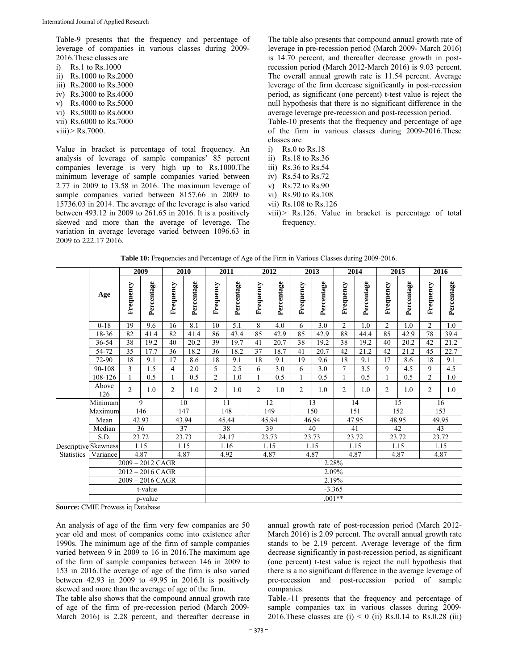Table-9 presents that the frequency and percentage of leverage of companies in various classes during 2009- 2016.These classes are

i) Rs.1 to Rs.1000 ii) Rs.1000 to Rs.2000 iii) Rs.2000 to Rs.3000 iv) Rs.3000 to Rs.4000 v) Rs.4000 to Rs.5000 vi) Rs.5000 to Rs.6000 vii) Rs.6000 to Rs.7000 viii)> Rs.7000.

Value in bracket is percentage of total frequency. An analysis of leverage of sample companies' 85 percent companies leverage is very high up to Rs.1000.The minimum leverage of sample companies varied between 2.77 in 2009 to 13.58 in 2016. The maximum leverage of sample companies varied between 8157.66 in 2009 to 15736.03 in 2014. The average of the leverage is also varied between 493.12 in 2009 to 261.65 in 2016. It is a positively skewed and more than the average of leverage. The variation in average leverage varied between 1096.63 in 2009 to 222.17 2016.

The table also presents that compound annual growth rate of leverage in pre-recession period (March 2009- March 2016) is 14.70 percent, and thereafter decrease growth in postrecession period (March 2012-March 2016) is 9.03 percent. The overall annual growth rate is 11.54 percent. Average leverage of the firm decrease significantly in post-recession period, as significant (one percent) t-test value is reject the null hypothesis that there is no significant difference in the average leverage pre-recession and post-recession period.

Table-10 presents that the frequency and percentage of age of the firm in various classes during 2009-2016.These classes are

- i) Rs.0 to Rs.18
- ii) Rs.18 to Rs.36
- iii) Rs.36 to Rs.54
- iv) Rs.54 to Rs.72
- v) Rs.72 to Rs.90
- vi) Rs.90 to Rs.108
- vii) Rs.108 to Rs.126
- viii)> Rs.126. Value in bracket is percentage of total frequency.

|                                           |                    | 2009           |            | 2010           |            | 2011           |            | 2012           |            | 2013      |            | 2014           |            | 2015           |            | 2016           |            |
|-------------------------------------------|--------------------|----------------|------------|----------------|------------|----------------|------------|----------------|------------|-----------|------------|----------------|------------|----------------|------------|----------------|------------|
|                                           | Age                | Frequency      | Percentage | Frequency      | Percentage | Frequency      | Percentage | Frequency      | Percentage | Frequency | Percentage | Frequency      | Percentage | Frequency      | Percentage | Frequency      | Percentage |
|                                           | $0 - 18$           | 19             | 9.6        | 16             | 8.1        | 10             | 5.1        | 8              | 4.0        | 6         | 3.0        | $\overline{c}$ | 1.0        | $\overline{2}$ | 1.0        | $\overline{2}$ | 1.0        |
|                                           | 18-36              | 82             | 41.4       | 82             | 41.4       | 86             | 43.4       | 85             | 42.9       | 85        | 42.9       | 88             | 44.4       | 85             | 42.9       | 78             | 39.4       |
|                                           | 36-54              | 38             | 19.2       | 40             | 20.2       | 39             | 19.7       | 41             | 20.7       | 38        | 19.2       | 38             | 19.2       | 40             | 20.2       | 42             | 21.2       |
|                                           | 54-72              | 35             | 17.7       | 36             | 18.2       | 36             | 18.2       | 37             | 18.7       | 41        | 20.7       | 42             | 21.2       | 42             | 21.2       | 45             | 22.7       |
|                                           | 72-90              | 18             | 9.1        | 17             | 8.6        | 18             | 9.1        | 18             | 9.1        | 19        | 9.6        | 18             | 9.1        | 17             | 8.6        | 18             | 9.1        |
|                                           | 90-108             | 3              | 1.5        | $\overline{4}$ | 2.0        | 5              | 2.5        | 6              | 3.0        | 6         | 3.0        | $\overline{7}$ | 3.5        | 9              | 4.5        | $\mathbf{Q}$   | 4.5        |
|                                           | 108-126            | $\mathbf{1}$   | 0.5        | 1              | 0.5        | $\overline{c}$ | 1.0        | $\mathbf{1}$   | 0.5        |           | 0.5        | 1              | 0.5        | 1              | 0.5        | 2              | 1.0        |
|                                           | Above<br>126       | $\overline{2}$ | 1.0        | $\overline{c}$ | 1.0        | $\overline{2}$ | 1.0        | $\overline{c}$ | 1.0        | 2         | 1.0        | $\overline{c}$ | 1.0        | 2              | 1.0        | 2              | 1.0        |
| Descriptive Skewness<br><b>Statistics</b> | Minimum            | 9              |            | 10             |            | 11             |            | 12             |            | 13        |            | 14             |            | 15             |            | 16             |            |
|                                           | Maximum            | 146            |            | 147            |            | 148            |            | 149            |            | 150       |            | 151            |            | 152            |            | 153            |            |
|                                           | Mean               | 42.93          |            | 43.94          |            | 45.44          |            | 45.94          |            | 46.94     |            | 47.95          |            | 48.95          |            | 49.95          |            |
|                                           | Median             | 36             |            | 37             |            | 38             |            | 39             |            | 40        |            | 41             |            | 42             |            | 43             |            |
|                                           | S.D.               | 23.72          |            | 23.73          |            | 24.17          |            | 23.73          |            | 23.73     |            | 23.72          |            | 23.72          |            | 23.72          |            |
|                                           |                    | 1.15           |            | 1.15           |            | 1.16           |            | 1.15           |            | 1.15      |            | 1.15           |            | 1.15           |            | 1.15           |            |
|                                           | Variance           | 4.87           |            | 4.87           |            | 4.92           |            | 4.87           |            | 4.87      |            | 4.87           |            | 4.87           |            | 4.87           |            |
|                                           | $2009 - 2012$ CAGR |                |            |                |            | 2.28%          |            |                |            |           |            |                |            |                |            |                |            |
|                                           | $2012 - 2016$ CAGR |                |            |                |            | 2.09%          |            |                |            |           |            |                |            |                |            |                |            |
|                                           | $2009 - 2016$ CAGR |                |            |                |            | 2.19%          |            |                |            |           |            |                |            |                |            |                |            |
|                                           | t-value            |                |            |                |            | $-3.365$       |            |                |            |           |            |                |            |                |            |                |            |
|                                           | p-value            |                |            |                |            |                | $.001**$   |                |            |           |            |                |            |                |            |                |            |

**Table 10:** Frequencies and Percentage of Age of the Firm in Various Classes during 2009-2016.

**Source:** CMIE Prowess iq Database

An analysis of age of the firm very few companies are 50 year old and most of companies come into existence after 1990s. The minimum age of the firm of sample companies varied between 9 in 2009 to 16 in 2016.The maximum age of the firm of sample companies between 146 in 2009 to 153 in 2016.The average of age of the firm is also varied between 42.93 in 2009 to 49.95 in 2016.It is positively skewed and more than the average of age of the firm.

The table also shows that the compound annual growth rate of age of the firm of pre-recession period (March 2009- March 2016) is 2.28 percent, and thereafter decrease in annual growth rate of post-recession period (March 2012- March 2016) is 2.09 percent. The overall annual growth rate stands to be 2.19 percent. Average leverage of the firm decrease significantly in post-recession period, as significant (one percent) t-test value is reject the null hypothesis that there is a no significant difference in the average leverage of pre-recession and post-recession period of sample companies.

Table.-11 presents that the frequency and percentage of sample companies tax in various classes during 2009- 2016. These classes are  $(i) < 0$  (ii) Rs.0.14 to Rs.0.28 (iii)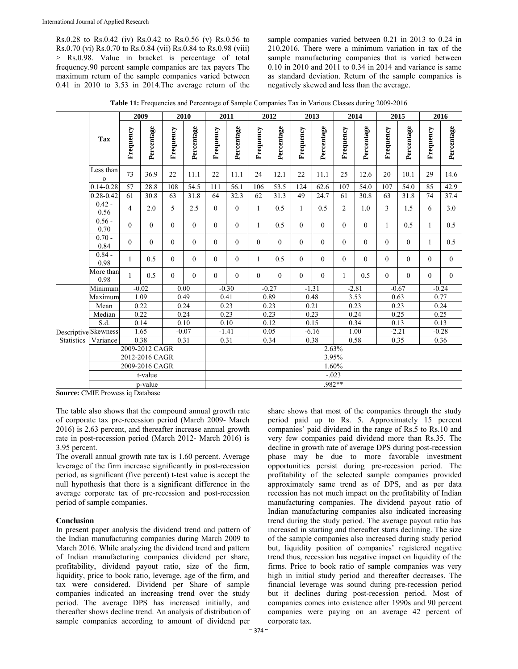Rs.0.28 to Rs.0.42 (iv) Rs.0.42 to Rs.0.56 (v) Rs.0.56 to Rs.0.70 (vi) Rs.0.70 to Rs.0.84 (vii) Rs.0.84 to Rs.0.98 (viii) > Rs.0.98. Value in bracket is percentage of total frequency.90 percent sample companies are tax payers The maximum return of the sample companies varied between 0.41 in 2010 to 3.53 in 2014.The average return of the

sample companies varied between 0.21 in 2013 to 0.24 in 210,2016. There were a minimum variation in tax of the sample manufacturing companies that is varied between 0.10 in 2010 and 2011 to 0.34 in 2014 and variance is same as standard deviation. Return of the sample companies is negatively skewed and less than the average.

**Table 11:** Frequencies and Percentage of Sample Companies Tax in Various Classes during 2009-2016

|                                          |                           |                | 2009       |           | 2010       |           | 2011       |           | 2012       |           | 2013       |                | 2014       |           | 2015       |              | 2016       |  |
|------------------------------------------|---------------------------|----------------|------------|-----------|------------|-----------|------------|-----------|------------|-----------|------------|----------------|------------|-----------|------------|--------------|------------|--|
|                                          | <b>Tax</b>                | Frequency      | Percentage | Frequency | Percentage | Frequency | Percentage | Frequency | Percentage | Frequency | Percentage | Frequency      | Percentage | Frequency | Percentage | Frequency    | Percentage |  |
|                                          | Less than<br>$\mathbf{o}$ | 73             | 36.9       | 22        | 11.1       | 22        | 11.1       | 24        | 12.1       | 22        | 11.1       | 25             | 12.6       | 20        | 10.1       | 29           | 14.6       |  |
|                                          | $0.14 - 0.28$             | 57             | 28.8       | 108       | 54.5       | 111       | 56.1       | 106       | 53.5       | 124       | 62.6       | 107            | 54.0       | 107       | 54.0       | 85           | 42.9       |  |
|                                          | $0.28 - 0.42$             | 61             | 30.8       | 63        | 31.8       | 64        | 32.3       | 62        | 31.3       | 49        | 24.7       | 61             | 30.8       | 63        | 31.8       | 74           | 37.4       |  |
|                                          | $0.42 -$<br>0.56          | $\overline{4}$ | 2.0        | 5         | 2.5        | $\Omega$  | $\theta$   | 1         | 0.5        | 1         | 0.5        | $\overline{2}$ | 1.0        | 3         | 1.5        | 6            | 3.0        |  |
|                                          | $0.56 -$<br>0.70          | $\Omega$       | $\Omega$   | $\theta$  | $\theta$   | $\Omega$  | $\theta$   | 1         | 0.5        | $\Omega$  | $\Omega$   | $\Omega$       | $\Omega$   | 1         | 0.5        | 1            | 0.5        |  |
|                                          | $0.70 -$<br>0.84          | $\Omega$       | $\theta$   | $\theta$  | $\theta$   | $\Omega$  | $\theta$   | $\Omega$  | $\Omega$   | $\Omega$  | $\Omega$   | $\Omega$       | $\Omega$   | $\Omega$  | $\Omega$   | $\mathbf{1}$ | 0.5        |  |
|                                          | $0.84 -$<br>0.98          | 1              | 0.5        | $\Omega$  | $\theta$   | $\Omega$  | $\theta$   | 1         | 0.5        | $\theta$  | $\theta$   | $\theta$       | $\theta$   | $\theta$  | $\theta$   | $\theta$     | $\theta$   |  |
|                                          | More than<br>0.98         | $\mathbf{1}$   | 0.5        | $\theta$  | $\Omega$   | $\Omega$  | $\Omega$   | $\theta$  | $\Omega$   | $\Omega$  | $\Omega$   | $\mathbf{1}$   | 0.5        | $\Omega$  | $\Omega$   | $\theta$     | $\Omega$   |  |
| DescriptiveSkewness<br><b>Statistics</b> | Minimum                   | $-0.02$        |            | 0.00      |            | $-0.30$   |            | $-0.27$   |            | $-1.31$   |            | $-2.81$        |            | $-0.67$   |            | $-0.24$      |            |  |
|                                          | Maximum                   | 1.09           |            | 0.49      |            | 0.41      |            | 0.89      |            | 0.48      |            | 3.53           |            | 0.63      |            | 0.77         |            |  |
|                                          | Mean                      | 0.22           |            | 0.24      |            | 0.23      |            | 0.23      |            | 0.21      |            | 0.23           |            | 0.23      |            | 0.24         |            |  |
|                                          | Median                    | 0.22           |            | 0.24      |            | 0.23      |            | 0.23      |            | 0.23      |            | 0.24           |            | 0.25      |            | 0.25         |            |  |
|                                          | S.d.                      |                | 0.14       |           | 0.10       |           | 0.10       |           | 0.12       |           | 0.15       |                | 0.34       |           | 0.13       |              | 0.13       |  |
|                                          |                           |                | 1.65       |           | $-0.07$    |           | $-1.41$    |           | 0.05       |           | $-6.16$    |                | 1.00       |           | $-2.21$    |              | $-0.28$    |  |
|                                          | Variance                  | 0.38           |            | 0.31      |            | 0.31      |            | 0.34      |            | 0.38      |            | 0.58           |            | 0.35      |            | 0.36         |            |  |
|                                          | 2009-2012 CAGR            |                |            |           |            | 2.63%     |            |           |            |           |            |                |            |           |            |              |            |  |
|                                          | 2012-2016 CAGR            |                |            |           |            | 3.95%     |            |           |            |           |            |                |            |           |            |              |            |  |
|                                          | 2009-2016 CAGR            |                |            |           |            | 1.60%     |            |           |            |           |            |                |            |           |            |              |            |  |
|                                          | t-value                   |                |            |           |            | $-.023$   |            |           |            |           |            |                |            |           |            |              |            |  |
|                                          | p-value                   |                |            |           |            |           | .982**     |           |            |           |            |                |            |           |            |              |            |  |

**Source:** CMIE Prowess iq Database

The table also shows that the compound annual growth rate of corporate tax pre-recession period (March 2009- March 2016) is 2.63 percent, and thereafter increase annual growth rate in post-recession period (March 2012- March 2016) is 3.95 percent.

The overall annual growth rate tax is 1.60 percent. Average leverage of the firm increase significantly in post-recession period, as significant (five percent) t-test value is accept the null hypothesis that there is a significant difference in the average corporate tax of pre-recession and post-recession period of sample companies.

### **Conclusion**

In present paper analysis the dividend trend and pattern of the Indian manufacturing companies during March 2009 to March 2016. While analyzing the dividend trend and pattern of Indian manufacturing companies dividend per share, profitability, dividend payout ratio, size of the firm, liquidity, price to book ratio, leverage, age of the firm, and tax were considered. Dividend per Share of sample companies indicated an increasing trend over the study period. The average DPS has increased initially, and thereafter shows decline trend. An analysis of distribution of sample companies according to amount of dividend per

share shows that most of the companies through the study period paid up to Rs. 5. Approximately 15 percent companies' paid dividend in the range of Rs.5 to Rs.10 and very few companies paid dividend more than Rs.35. The decline in growth rate of average DPS during post-recession phase may be due to more favorable investment opportunities persist during pre-recession period. The profitability of the selected sample companies provided approximately same trend as of DPS, and as per data recession has not much impact on the profitability of Indian manufacturing companies. The dividend payout ratio of Indian manufacturing companies also indicated increasing trend during the study period. The average payout ratio has increased in starting and thereafter starts declining. The size of the sample companies also increased during study period but, liquidity position of companies' registered negative trend thus, recession has negative impact on liquidity of the firms. Price to book ratio of sample companies was very high in initial study period and thereafter decreases. The financial leverage was sound during pre-recession period but it declines during post-recession period. Most of companies comes into existence after 1990s and 90 percent companies were paying on an average 42 percent of corporate tax.